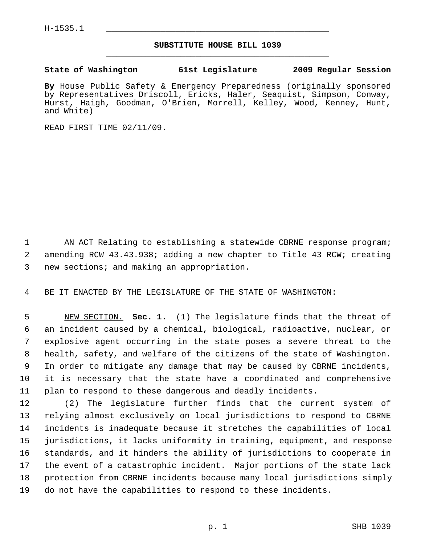## **SUBSTITUTE HOUSE BILL 1039** \_\_\_\_\_\_\_\_\_\_\_\_\_\_\_\_\_\_\_\_\_\_\_\_\_\_\_\_\_\_\_\_\_\_\_\_\_\_\_\_\_\_\_\_\_

## **State of Washington 61st Legislature 2009 Regular Session**

**By** House Public Safety & Emergency Preparedness (originally sponsored by Representatives Driscoll, Ericks, Haler, Seaquist, Simpson, Conway, Hurst, Haigh, Goodman, O'Brien, Morrell, Kelley, Wood, Kenney, Hunt, and White)

READ FIRST TIME 02/11/09.

1 AN ACT Relating to establishing a statewide CBRNE response program; 2 amending RCW 43.43.938; adding a new chapter to Title 43 RCW; creating 3 new sections; and making an appropriation.

4 BE IT ENACTED BY THE LEGISLATURE OF THE STATE OF WASHINGTON:

 5 NEW SECTION. **Sec. 1.** (1) The legislature finds that the threat of 6 an incident caused by a chemical, biological, radioactive, nuclear, or 7 explosive agent occurring in the state poses a severe threat to the 8 health, safety, and welfare of the citizens of the state of Washington. 9 In order to mitigate any damage that may be caused by CBRNE incidents, 10 it is necessary that the state have a coordinated and comprehensive 11 plan to respond to these dangerous and deadly incidents.

12 (2) The legislature further finds that the current system of 13 relying almost exclusively on local jurisdictions to respond to CBRNE 14 incidents is inadequate because it stretches the capabilities of local 15 jurisdictions, it lacks uniformity in training, equipment, and response 16 standards, and it hinders the ability of jurisdictions to cooperate in 17 the event of a catastrophic incident. Major portions of the state lack 18 protection from CBRNE incidents because many local jurisdictions simply 19 do not have the capabilities to respond to these incidents.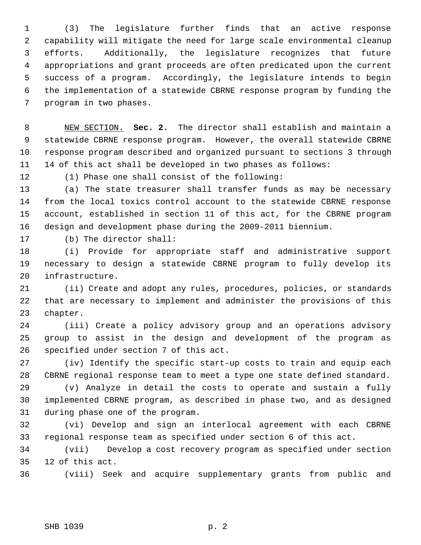1 (3) The legislature further finds that an active response 2 capability will mitigate the need for large scale environmental cleanup 3 efforts. Additionally, the legislature recognizes that future 4 appropriations and grant proceeds are often predicated upon the current 5 success of a program. Accordingly, the legislature intends to begin 6 the implementation of a statewide CBRNE response program by funding the 7 program in two phases.

 8 NEW SECTION. **Sec. 2.** The director shall establish and maintain a 9 statewide CBRNE response program. However, the overall statewide CBRNE 10 response program described and organized pursuant to sections 3 through 11 14 of this act shall be developed in two phases as follows:

12 (1) Phase one shall consist of the following:

13 (a) The state treasurer shall transfer funds as may be necessary 14 from the local toxics control account to the statewide CBRNE response 15 account, established in section 11 of this act, for the CBRNE program 16 design and development phase during the 2009-2011 biennium.

17 (b) The director shall:

18 (i) Provide for appropriate staff and administrative support 19 necessary to design a statewide CBRNE program to fully develop its 20 infrastructure.

21 (ii) Create and adopt any rules, procedures, policies, or standards 22 that are necessary to implement and administer the provisions of this 23 chapter.

24 (iii) Create a policy advisory group and an operations advisory 25 group to assist in the design and development of the program as 26 specified under section 7 of this act.

27 (iv) Identify the specific start-up costs to train and equip each 28 CBRNE regional response team to meet a type one state defined standard.

29 (v) Analyze in detail the costs to operate and sustain a fully 30 implemented CBRNE program, as described in phase two, and as designed 31 during phase one of the program.

32 (vi) Develop and sign an interlocal agreement with each CBRNE 33 regional response team as specified under section 6 of this act.

34 (vii) Develop a cost recovery program as specified under section 35 12 of this act.

36 (viii) Seek and acquire supplementary grants from public and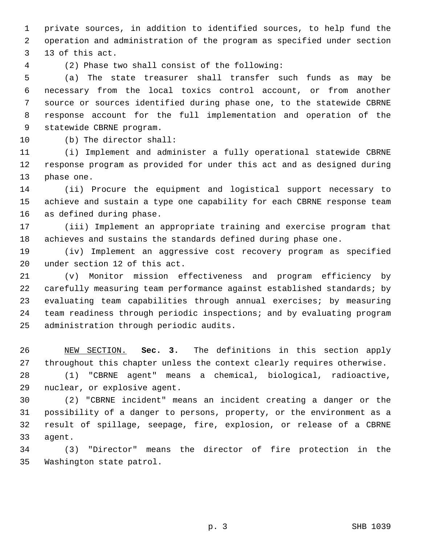1 private sources, in addition to identified sources, to help fund the 2 operation and administration of the program as specified under section 3 13 of this act.

4 (2) Phase two shall consist of the following:

 5 (a) The state treasurer shall transfer such funds as may be 6 necessary from the local toxics control account, or from another 7 source or sources identified during phase one, to the statewide CBRNE 8 response account for the full implementation and operation of the 9 statewide CBRNE program.

10 (b) The director shall:

11 (i) Implement and administer a fully operational statewide CBRNE 12 response program as provided for under this act and as designed during 13 phase one.

14 (ii) Procure the equipment and logistical support necessary to 15 achieve and sustain a type one capability for each CBRNE response team 16 as defined during phase.

17 (iii) Implement an appropriate training and exercise program that 18 achieves and sustains the standards defined during phase one.

19 (iv) Implement an aggressive cost recovery program as specified 20 under section 12 of this act.

21 (v) Monitor mission effectiveness and program efficiency by 22 carefully measuring team performance against established standards; by 23 evaluating team capabilities through annual exercises; by measuring 24 team readiness through periodic inspections; and by evaluating program 25 administration through periodic audits.

26 NEW SECTION. **Sec. 3.** The definitions in this section apply 27 throughout this chapter unless the context clearly requires otherwise.

28 (1) "CBRNE agent" means a chemical, biological, radioactive, 29 nuclear, or explosive agent.

30 (2) "CBRNE incident" means an incident creating a danger or the 31 possibility of a danger to persons, property, or the environment as a 32 result of spillage, seepage, fire, explosion, or release of a CBRNE 33 agent.

34 (3) "Director" means the director of fire protection in the 35 Washington state patrol.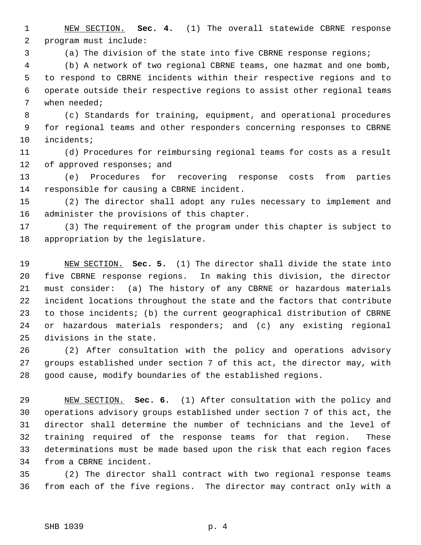1 NEW SECTION. **Sec. 4.** (1) The overall statewide CBRNE response 2 program must include:

3 (a) The division of the state into five CBRNE response regions;

 4 (b) A network of two regional CBRNE teams, one hazmat and one bomb, 5 to respond to CBRNE incidents within their respective regions and to 6 operate outside their respective regions to assist other regional teams 7 when needed;

 8 (c) Standards for training, equipment, and operational procedures 9 for regional teams and other responders concerning responses to CBRNE 10 incidents;

11 (d) Procedures for reimbursing regional teams for costs as a result 12 of approved responses; and

13 (e) Procedures for recovering response costs from parties 14 responsible for causing a CBRNE incident.

15 (2) The director shall adopt any rules necessary to implement and 16 administer the provisions of this chapter.

17 (3) The requirement of the program under this chapter is subject to 18 appropriation by the legislature.

19 NEW SECTION. **Sec. 5.** (1) The director shall divide the state into 20 five CBRNE response regions. In making this division, the director 21 must consider: (a) The history of any CBRNE or hazardous materials 22 incident locations throughout the state and the factors that contribute 23 to those incidents; (b) the current geographical distribution of CBRNE 24 or hazardous materials responders; and (c) any existing regional 25 divisions in the state.

26 (2) After consultation with the policy and operations advisory 27 groups established under section 7 of this act, the director may, with 28 good cause, modify boundaries of the established regions.

29 NEW SECTION. **Sec. 6.** (1) After consultation with the policy and 30 operations advisory groups established under section 7 of this act, the 31 director shall determine the number of technicians and the level of 32 training required of the response teams for that region. These 33 determinations must be made based upon the risk that each region faces 34 from a CBRNE incident.

35 (2) The director shall contract with two regional response teams 36 from each of the five regions. The director may contract only with a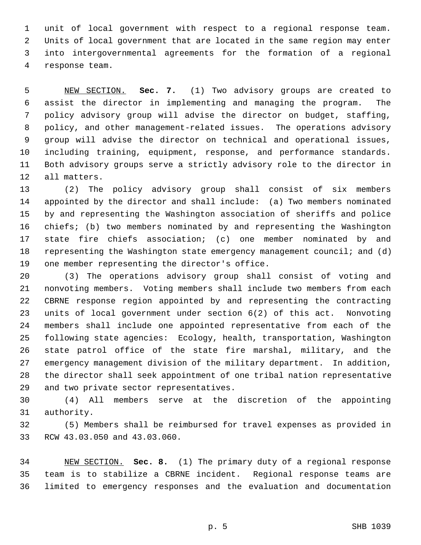1 unit of local government with respect to a regional response team. 2 Units of local government that are located in the same region may enter 3 into intergovernmental agreements for the formation of a regional 4 response team.

 5 NEW SECTION. **Sec. 7.** (1) Two advisory groups are created to 6 assist the director in implementing and managing the program. The 7 policy advisory group will advise the director on budget, staffing, 8 policy, and other management-related issues. The operations advisory 9 group will advise the director on technical and operational issues, 10 including training, equipment, response, and performance standards. 11 Both advisory groups serve a strictly advisory role to the director in 12 all matters.

13 (2) The policy advisory group shall consist of six members 14 appointed by the director and shall include: (a) Two members nominated 15 by and representing the Washington association of sheriffs and police 16 chiefs; (b) two members nominated by and representing the Washington 17 state fire chiefs association; (c) one member nominated by and 18 representing the Washington state emergency management council; and (d) 19 one member representing the director's office.

20 (3) The operations advisory group shall consist of voting and 21 nonvoting members. Voting members shall include two members from each 22 CBRNE response region appointed by and representing the contracting 23 units of local government under section 6(2) of this act. Nonvoting 24 members shall include one appointed representative from each of the 25 following state agencies: Ecology, health, transportation, Washington 26 state patrol office of the state fire marshal, military, and the 27 emergency management division of the military department. In addition, 28 the director shall seek appointment of one tribal nation representative 29 and two private sector representatives.

30 (4) All members serve at the discretion of the appointing 31 authority.

32 (5) Members shall be reimbursed for travel expenses as provided in 33 RCW 43.03.050 and 43.03.060.

34 NEW SECTION. **Sec. 8.** (1) The primary duty of a regional response 35 team is to stabilize a CBRNE incident. Regional response teams are 36 limited to emergency responses and the evaluation and documentation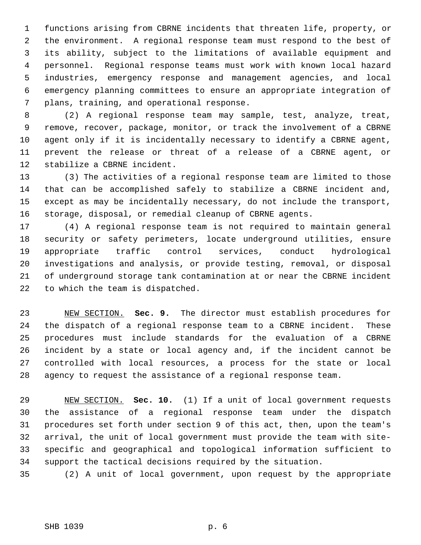1 functions arising from CBRNE incidents that threaten life, property, or 2 the environment. A regional response team must respond to the best of 3 its ability, subject to the limitations of available equipment and 4 personnel. Regional response teams must work with known local hazard 5 industries, emergency response and management agencies, and local 6 emergency planning committees to ensure an appropriate integration of 7 plans, training, and operational response.

 8 (2) A regional response team may sample, test, analyze, treat, 9 remove, recover, package, monitor, or track the involvement of a CBRNE 10 agent only if it is incidentally necessary to identify a CBRNE agent, 11 prevent the release or threat of a release of a CBRNE agent, or 12 stabilize a CBRNE incident.

13 (3) The activities of a regional response team are limited to those 14 that can be accomplished safely to stabilize a CBRNE incident and, 15 except as may be incidentally necessary, do not include the transport, 16 storage, disposal, or remedial cleanup of CBRNE agents.

17 (4) A regional response team is not required to maintain general 18 security or safety perimeters, locate underground utilities, ensure 19 appropriate traffic control services, conduct hydrological 20 investigations and analysis, or provide testing, removal, or disposal 21 of underground storage tank contamination at or near the CBRNE incident 22 to which the team is dispatched.

23 NEW SECTION. **Sec. 9.** The director must establish procedures for 24 the dispatch of a regional response team to a CBRNE incident. These 25 procedures must include standards for the evaluation of a CBRNE 26 incident by a state or local agency and, if the incident cannot be 27 controlled with local resources, a process for the state or local 28 agency to request the assistance of a regional response team.

29 NEW SECTION. **Sec. 10.** (1) If a unit of local government requests 30 the assistance of a regional response team under the dispatch 31 procedures set forth under section 9 of this act, then, upon the team's 32 arrival, the unit of local government must provide the team with site-33 specific and geographical and topological information sufficient to 34 support the tactical decisions required by the situation.

35 (2) A unit of local government, upon request by the appropriate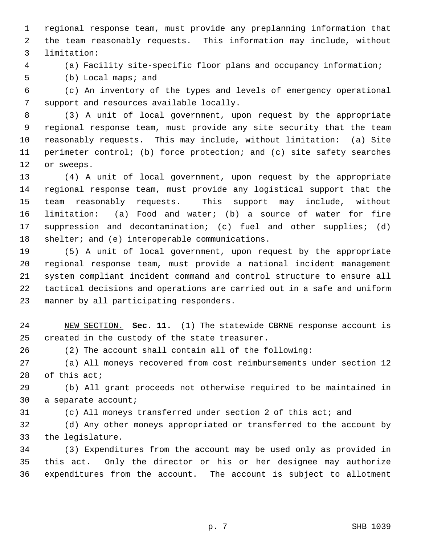1 regional response team, must provide any preplanning information that 2 the team reasonably requests. This information may include, without 3 limitation:

4 (a) Facility site-specific floor plans and occupancy information;

5 (b) Local maps; and

 6 (c) An inventory of the types and levels of emergency operational 7 support and resources available locally.

 8 (3) A unit of local government, upon request by the appropriate 9 regional response team, must provide any site security that the team 10 reasonably requests. This may include, without limitation: (a) Site 11 perimeter control; (b) force protection; and (c) site safety searches 12 or sweeps.

13 (4) A unit of local government, upon request by the appropriate 14 regional response team, must provide any logistical support that the 15 team reasonably requests. This support may include, without 16 limitation: (a) Food and water; (b) a source of water for fire 17 suppression and decontamination; (c) fuel and other supplies; (d) 18 shelter; and (e) interoperable communications.

19 (5) A unit of local government, upon request by the appropriate 20 regional response team, must provide a national incident management 21 system compliant incident command and control structure to ensure all 22 tactical decisions and operations are carried out in a safe and uniform 23 manner by all participating responders.

24 NEW SECTION. **Sec. 11.** (1) The statewide CBRNE response account is 25 created in the custody of the state treasurer.

26 (2) The account shall contain all of the following:

27 (a) All moneys recovered from cost reimbursements under section 12 28 of this act;

29 (b) All grant proceeds not otherwise required to be maintained in 30 a separate account;

31 (c) All moneys transferred under section 2 of this act; and

32 (d) Any other moneys appropriated or transferred to the account by 33 the legislature.

34 (3) Expenditures from the account may be used only as provided in 35 this act. Only the director or his or her designee may authorize 36 expenditures from the account. The account is subject to allotment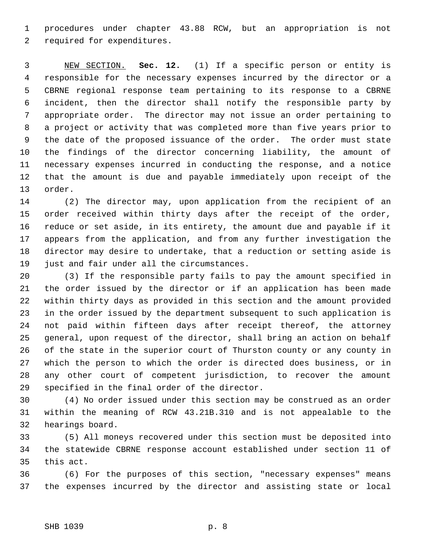1 procedures under chapter 43.88 RCW, but an appropriation is not 2 required for expenditures.

 3 NEW SECTION. **Sec. 12.** (1) If a specific person or entity is 4 responsible for the necessary expenses incurred by the director or a 5 CBRNE regional response team pertaining to its response to a CBRNE 6 incident, then the director shall notify the responsible party by 7 appropriate order. The director may not issue an order pertaining to 8 a project or activity that was completed more than five years prior to 9 the date of the proposed issuance of the order. The order must state 10 the findings of the director concerning liability, the amount of 11 necessary expenses incurred in conducting the response, and a notice 12 that the amount is due and payable immediately upon receipt of the 13 order.

14 (2) The director may, upon application from the recipient of an 15 order received within thirty days after the receipt of the order, 16 reduce or set aside, in its entirety, the amount due and payable if it 17 appears from the application, and from any further investigation the 18 director may desire to undertake, that a reduction or setting aside is 19 just and fair under all the circumstances.

20 (3) If the responsible party fails to pay the amount specified in 21 the order issued by the director or if an application has been made 22 within thirty days as provided in this section and the amount provided 23 in the order issued by the department subsequent to such application is 24 not paid within fifteen days after receipt thereof, the attorney 25 general, upon request of the director, shall bring an action on behalf 26 of the state in the superior court of Thurston county or any county in 27 which the person to which the order is directed does business, or in 28 any other court of competent jurisdiction, to recover the amount 29 specified in the final order of the director.

30 (4) No order issued under this section may be construed as an order 31 within the meaning of RCW 43.21B.310 and is not appealable to the 32 hearings board.

33 (5) All moneys recovered under this section must be deposited into 34 the statewide CBRNE response account established under section 11 of 35 this act.

36 (6) For the purposes of this section, "necessary expenses" means 37 the expenses incurred by the director and assisting state or local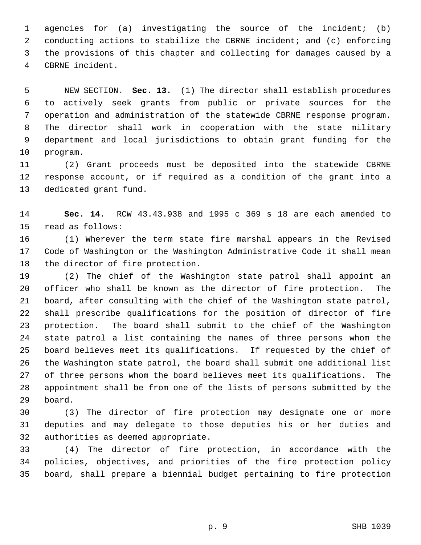1 agencies for (a) investigating the source of the incident; (b) 2 conducting actions to stabilize the CBRNE incident; and (c) enforcing 3 the provisions of this chapter and collecting for damages caused by a 4 CBRNE incident.

 5 NEW SECTION. **Sec. 13.** (1) The director shall establish procedures 6 to actively seek grants from public or private sources for the 7 operation and administration of the statewide CBRNE response program. 8 The director shall work in cooperation with the state military 9 department and local jurisdictions to obtain grant funding for the 10 program.

11 (2) Grant proceeds must be deposited into the statewide CBRNE 12 response account, or if required as a condition of the grant into a 13 dedicated grant fund.

14 **Sec. 14.** RCW 43.43.938 and 1995 c 369 s 18 are each amended to 15 read as follows:

16 (1) Wherever the term state fire marshal appears in the Revised 17 Code of Washington or the Washington Administrative Code it shall mean 18 the director of fire protection.

19 (2) The chief of the Washington state patrol shall appoint an 20 officer who shall be known as the director of fire protection. The 21 board, after consulting with the chief of the Washington state patrol, 22 shall prescribe qualifications for the position of director of fire 23 protection. The board shall submit to the chief of the Washington 24 state patrol a list containing the names of three persons whom the 25 board believes meet its qualifications. If requested by the chief of 26 the Washington state patrol, the board shall submit one additional list 27 of three persons whom the board believes meet its qualifications. The 28 appointment shall be from one of the lists of persons submitted by the 29 board.

30 (3) The director of fire protection may designate one or more 31 deputies and may delegate to those deputies his or her duties and 32 authorities as deemed appropriate.

33 (4) The director of fire protection, in accordance with the 34 policies, objectives, and priorities of the fire protection policy 35 board, shall prepare a biennial budget pertaining to fire protection